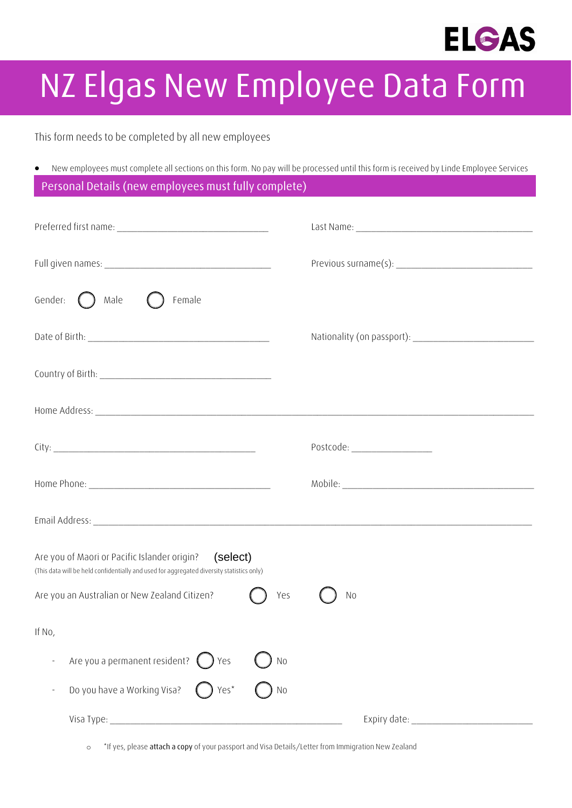

## **NZ Elgas New Employee Data Form**

This form needs to be completed by all new employees

• New employees must complete all sections on this form. No pay will be processed until this form is received by Linde Employee Services **Personal Details (new employees must fully complete)**

| Gender: $\bigcirc$ Male $\bigcirc$<br>Female                                                                                                          |                               |
|-------------------------------------------------------------------------------------------------------------------------------------------------------|-------------------------------|
|                                                                                                                                                       |                               |
|                                                                                                                                                       |                               |
|                                                                                                                                                       |                               |
|                                                                                                                                                       | Postcode: ___________________ |
|                                                                                                                                                       |                               |
|                                                                                                                                                       |                               |
| Are you of Maori or Pacific Islander origin?<br>(select)<br>(This data will be held confidentially and used for aggregated diversity statistics only) |                               |
| Are you an Australian or New Zealand Citizen?<br>Yes                                                                                                  | <b>No</b>                     |
| If No,                                                                                                                                                |                               |
| Are you a permanent resident? (<br>) Yes<br>N <sub>o</sub>                                                                                            |                               |
| Do you have a Working Visa?<br>Yes*<br>N <sub>0</sub>                                                                                                 |                               |
|                                                                                                                                                       |                               |

o \*If yes, please **attach a copy** of your passport and Visa Details/Letter from Immigration New Zealand